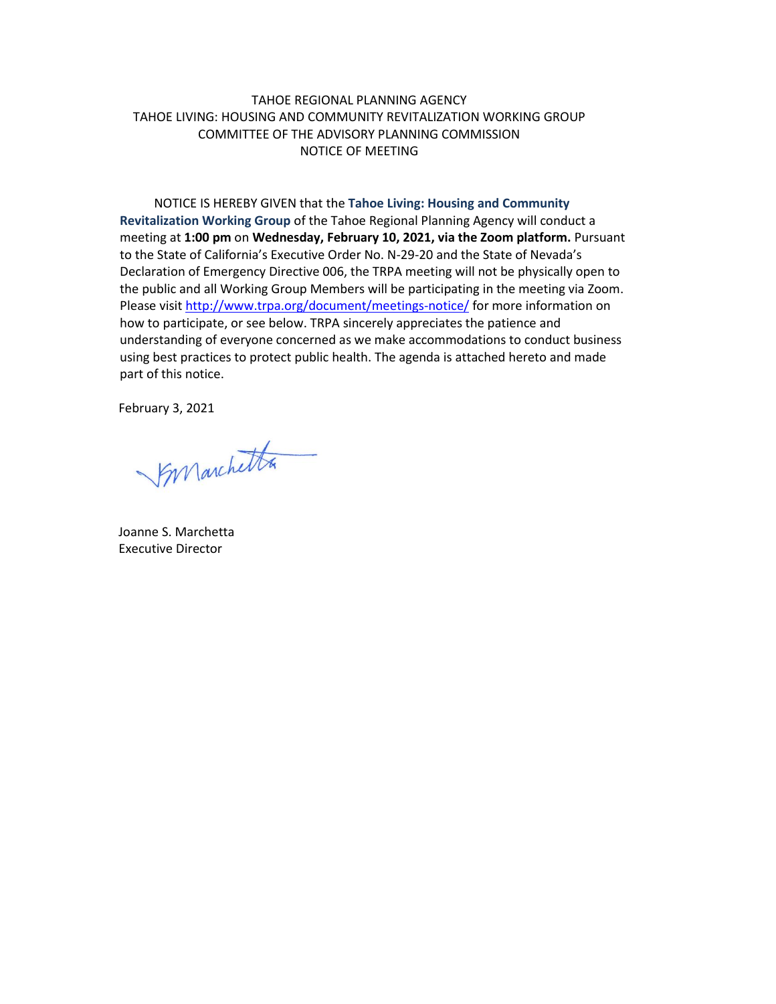## TAHOE REGIONAL PLANNING AGENCY TAHOE LIVING: HOUSING AND COMMUNITY REVITALIZATION WORKING GROUP COMMITTEE OF THE ADVISORY PLANNING COMMISSION NOTICE OF MEETING

NOTICE IS HEREBY GIVEN that the **Tahoe Living: Housing and Community Revitalization Working Group** of the Tahoe Regional Planning Agency will conduct a meeting at **1:00 pm** on **Wednesday, February 10, 2021, via the Zoom platform.** Pursuant to the State of California's Executive Order No. N-29-20 and the State of Nevada's Declaration of Emergency Directive 006, the TRPA meeting will not be physically open to the public and all Working Group Members will be participating in the meeting via Zoom. Please visit <http://www.trpa.org/document/meetings-notice/> for more information on how to participate, or see below. TRPA sincerely appreciates the patience and understanding of everyone concerned as we make accommodations to conduct business using best practices to protect public health. The agenda is attached hereto and made part of this notice.

February 3, 2021

Synanchetta

Joanne S. Marchetta Executive Director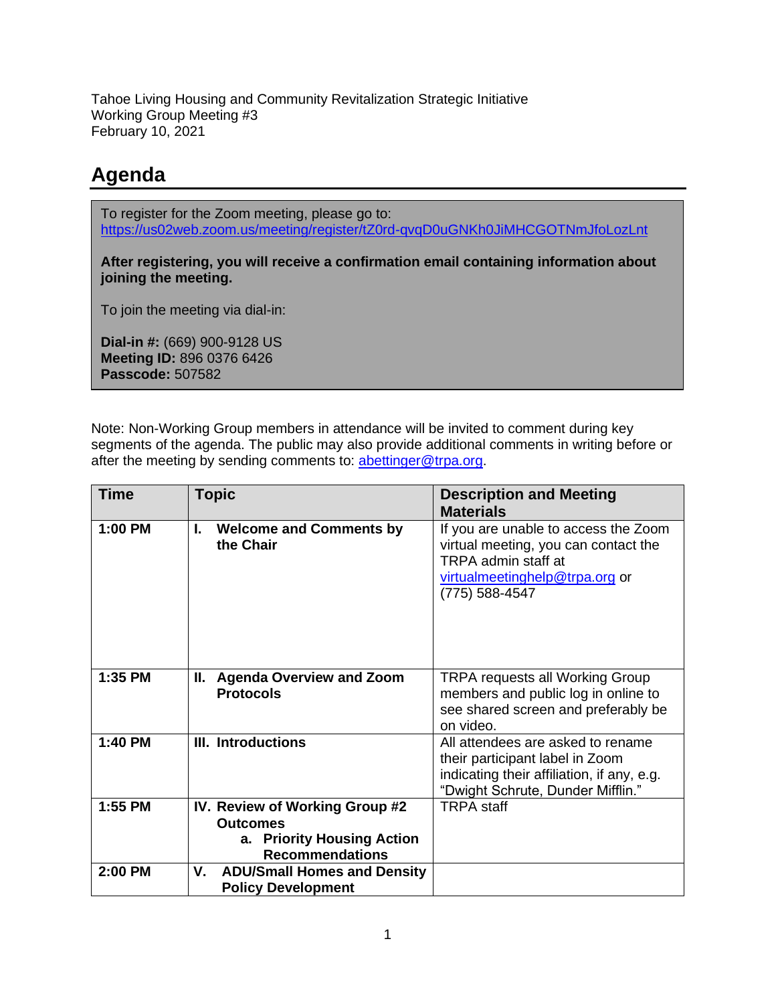Tahoe Living Housing and Community Revitalization Strategic Initiative Working Group Meeting #3 February 10, 2021

## **Agenda**

To register for the Zoom meeting, please go to: <https://us02web.zoom.us/meeting/register/tZ0rd-qvqD0uGNKh0JiMHCGOTNmJfoLozLnt>

**After registering, you will receive a confirmation email containing information about joining the meeting.**

To join the meeting via dial-in:

**Dial-in #:** (669) 900-9128 US **Meeting ID:** 896 0376 6426 **Passcode:** 507582

Note: Non-Working Group members in attendance will be invited to comment during key segments of the agenda. The public may also provide additional comments in writing before or after the meeting by sending comments to: [abettinger@trpa.org.](mailto:abettinger@trpa.org)

| <b>Time</b> | <b>Topic</b>                                                                                              | <b>Description and Meeting</b><br><b>Materials</b>                                                                                                      |
|-------------|-----------------------------------------------------------------------------------------------------------|---------------------------------------------------------------------------------------------------------------------------------------------------------|
| 1:00 PM     | <b>Welcome and Comments by</b><br>I.<br>the Chair                                                         | If you are unable to access the Zoom<br>virtual meeting, you can contact the<br>TRPA admin staff at<br>virtualmeetinghelp@trpa.org or<br>(775) 588-4547 |
| 1:35 PM     | II. Agenda Overview and Zoom<br><b>Protocols</b>                                                          | <b>TRPA requests all Working Group</b><br>members and public log in online to<br>see shared screen and preferably be<br>on video.                       |
| 1:40 PM     | <b>III. Introductions</b>                                                                                 | All attendees are asked to rename<br>their participant label in Zoom<br>indicating their affiliation, if any, e.g.<br>"Dwight Schrute, Dunder Mifflin." |
| 1:55 PM     | IV. Review of Working Group #2<br><b>Outcomes</b><br>a. Priority Housing Action<br><b>Recommendations</b> | <b>TRPA</b> staff                                                                                                                                       |
| 2:00 PM     | V.<br><b>ADU/Small Homes and Density</b><br><b>Policy Development</b>                                     |                                                                                                                                                         |